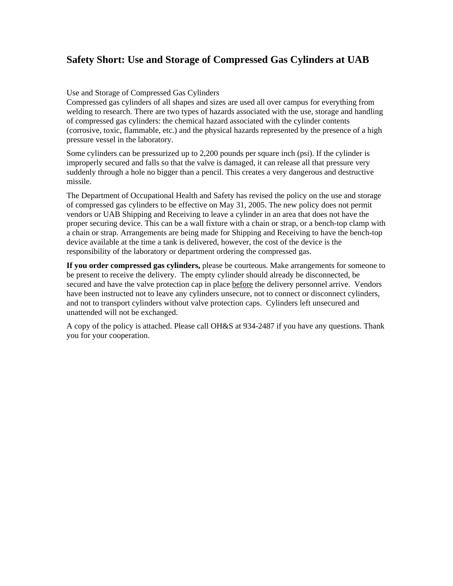### **Safety Short: Use and Storage of Compressed Gas Cylinders at UAB**

#### Use and Storage of Compressed Gas Cylinders

Compressed gas cylinders of all shapes and sizes are used all over campus for everything from welding to research. There are two types of hazards associated with the use, storage and handling of compressed gas cylinders: the chemical hazard associated with the cylinder contents (corrosive, toxic, flammable, etc.) and the physical hazards represented by the presence of a high pressure vessel in the laboratory.

Some cylinders can be pressurized up to 2,200 pounds per square inch (psi). If the cylinder is improperly secured and falls so that the valve is damaged, it can release all that pressure very suddenly through a hole no bigger than a pencil. This creates a very dangerous and destructive missile.

The Department of Occupational Health and Safety has revised the policy on the use and storage of compressed gas cylinders to be effective on May 31, 2005. The new policy does not permit vendors or UAB Shipping and Receiving to leave a cylinder in an area that does not have the proper securing device. This can be a wall fixture with a chain or strap, or a bench-top clamp with a chain or strap. Arrangements are being made for Shipping and Receiving to have the bench-top device available at the time a tank is delivered, however, the cost of the device is the responsibility of the laboratory or department ordering the compressed gas.

**If you order compressed gas cylinders,** please be courteous. Make arrangements for someone to be present to receive the delivery. The empty cylinder should already be disconnected, be secured and have the valve protection cap in place before the delivery personnel arrive. Vendors have been instructed not to leave any cylinders unsecure, not to connect or disconnect cylinders, and not to transport cylinders without valve protection caps. Cylinders left unsecured and unattended will not be exchanged.

A copy of the policy is attached. Please call OH&S at 934-2487 if you have any questions. Thank you for your cooperation.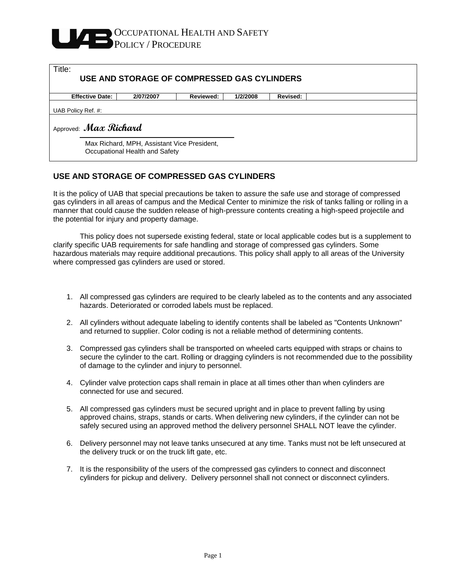# OCCUPATIONAL HEALTH AND SAFETY POLICY / PROCEDURE

| Title:<br>USE AND STORAGE OF COMPRESSED GAS CYLINDERS                         |           |           |          |          |  |
|-------------------------------------------------------------------------------|-----------|-----------|----------|----------|--|
| <b>Effective Date:</b>                                                        | 2/07/2007 | Reviewed: | 1/2/2008 | Revised: |  |
| UAB Policy Ref. #:                                                            |           |           |          |          |  |
| Approved: Max Richard                                                         |           |           |          |          |  |
| Max Richard, MPH, Assistant Vice President,<br>Occupational Health and Safety |           |           |          |          |  |

#### **USE AND STORAGE OF COMPRESSED GAS CYLINDERS**

It is the policy of UAB that special precautions be taken to assure the safe use and storage of compressed gas cylinders in all areas of campus and the Medical Center to minimize the risk of tanks falling or rolling in a manner that could cause the sudden release of high-pressure contents creating a high-speed projectile and the potential for injury and property damage.

 This policy does not supersede existing federal, state or local applicable codes but is a supplement to clarify specific UAB requirements for safe handling and storage of compressed gas cylinders. Some hazardous materials may require additional precautions. This policy shall apply to all areas of the University where compressed gas cylinders are used or stored.

- 1. All compressed gas cylinders are required to be clearly labeled as to the contents and any associated hazards. Deteriorated or corroded labels must be replaced.
- 2. All cylinders without adequate labeling to identify contents shall be labeled as "Contents Unknown" and returned to supplier. Color coding is not a reliable method of determining contents.
- 3. Compressed gas cylinders shall be transported on wheeled carts equipped with straps or chains to secure the cylinder to the cart. Rolling or dragging cylinders is not recommended due to the possibility of damage to the cylinder and injury to personnel.
- 4. Cylinder valve protection caps shall remain in place at all times other than when cylinders are connected for use and secured.
- 5. All compressed gas cylinders must be secured upright and in place to prevent falling by using approved chains, straps, stands or carts. When delivering new cylinders, if the cylinder can not be safely secured using an approved method the delivery personnel SHALL NOT leave the cylinder.
- 6. Delivery personnel may not leave tanks unsecured at any time. Tanks must not be left unsecured at the delivery truck or on the truck lift gate, etc.
- 7. It is the responsibility of the users of the compressed gas cylinders to connect and disconnect cylinders for pickup and delivery. Delivery personnel shall not connect or disconnect cylinders.